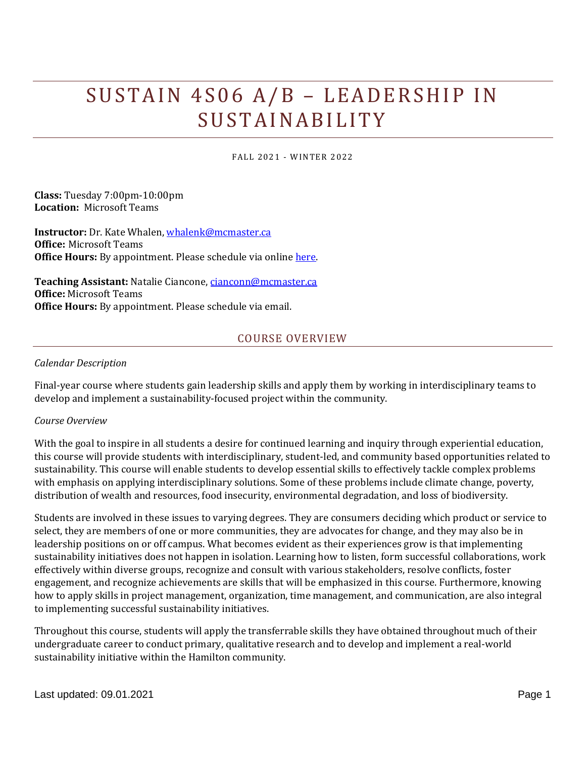# SUSTAIN 4S06 A/B - LEADERSHIP IN **SUSTAINABILITY**

FALL 2021 - WINTER 2022

**Class:** Tuesday 7:00pm-10:00pm **Location:** Microsoft Teams

**Instructor:** Dr. Kate Whalen, [whalenk@mcmaster.ca](mailto:whalenk@mcmaster.ca) **Office:** Microsoft Teams **Office Hours:** By appointment. Please schedule via online [here.](https://outlook.office365.com/owa/calendar/KateWhalen@mcmaster.ca/bookings/)

**Teaching Assistant:** Natalie Ciancone, [cianconn@mcmaster.ca](mailto:cianconn@mcmaster.ca) **Office:** Microsoft Teams **Office Hours:** By appointment. Please schedule via email.

# COURSE OVERVIEW

#### *Calendar Description*

Final-year course where students gain leadership skills and apply them by working in interdisciplinary teams to develop and implement a sustainability-focused project within the community.

#### *Course Overview*

With the goal to inspire in all students a desire for continued learning and inquiry through experiential education, this course will provide students with interdisciplinary, student-led, and community based opportunities related to sustainability. This course will enable students to develop essential skills to effectively tackle complex problems with emphasis on applying interdisciplinary solutions. Some of these problems include climate change, poverty, distribution of wealth and resources, food insecurity, environmental degradation, and loss of biodiversity.

Students are involved in these issues to varying degrees. They are consumers deciding which product or service to select, they are members of one or more communities, they are advocates for change, and they may also be in leadership positions on or off campus. What becomes evident as their experiences grow is that implementing sustainability initiatives does not happen in isolation. Learning how to listen, form successful collaborations, work effectively within diverse groups, recognize and consult with various stakeholders, resolve conflicts, foster engagement, and recognize achievements are skills that will be emphasized in this course. Furthermore, knowing how to apply skills in project management, organization, time management, and communication, are also integral to implementing successful sustainability initiatives.

Throughout this course, students will apply the transferrable skills they have obtained throughout much of their undergraduate career to conduct primary, qualitative research and to develop and implement a real-world sustainability initiative within the Hamilton community.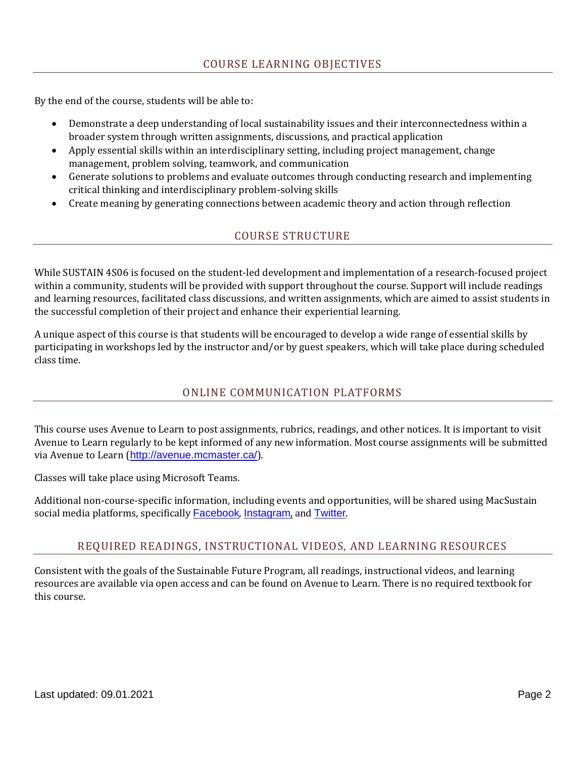By the end of the course, students will be able to:

- Demonstrate a deep understanding of local sustainability issues and their interconnectedness within a broader system through written assignments, discussions, and practical application
- Apply essential skills within an interdisciplinary setting, including project management, change management, problem solving, teamwork, and communication
- Generate solutions to problems and evaluate outcomes through conducting research and implementing critical thinking and interdisciplinary problem-solving skills
- Create meaning by generating connections between academic theory and action through reflection

# COURSE STRUCTURE

While SUSTAIN 4S06 is focused on the student-led development and implementation of a research-focused project within a community, students will be provided with support throughout the course. Support will include readings and learning resources, facilitated class discussions, and written assignments, which are aimed to assist students in the successful completion of their project and enhance their experiential learning.

A unique aspect of this course is that students will be encouraged to develop a wide range of essential skills by participating in workshops led by the instructor and/or by guest speakers, which will take place during scheduled class time.

# ONLINE COMMUNICATION PLATFORMS

This course uses Avenue to Learn to post assignments, rubrics, readings, and other notices. It is important to visit Avenue to Learn regularly to be kept informed of any new information. Most course assignments will be submitted via Avenue to Learn (<http://avenue.mcmaster.ca/>).

Classes will take place using Microsoft Teams.

Additional non-course-specific information, including events and opportunities, will be shared using MacSustain social media platforms, specifically **[Facebook](https://www.facebook.com/MacSustain/)**, [Instagram](https://www.instagram.com/macsustain/), and **[Twitter](https://twitter.com/MacSustain)**.

# REQUIRED READINGS, INSTRUCTIONAL VIDEOS, AND LEARNING RESOURCES

Consistent with the goals of the Sustainable Future Program, all readings, instructional videos, and learning resources are available via open access and can be found on Avenue to Learn. There is no required textbook for this course.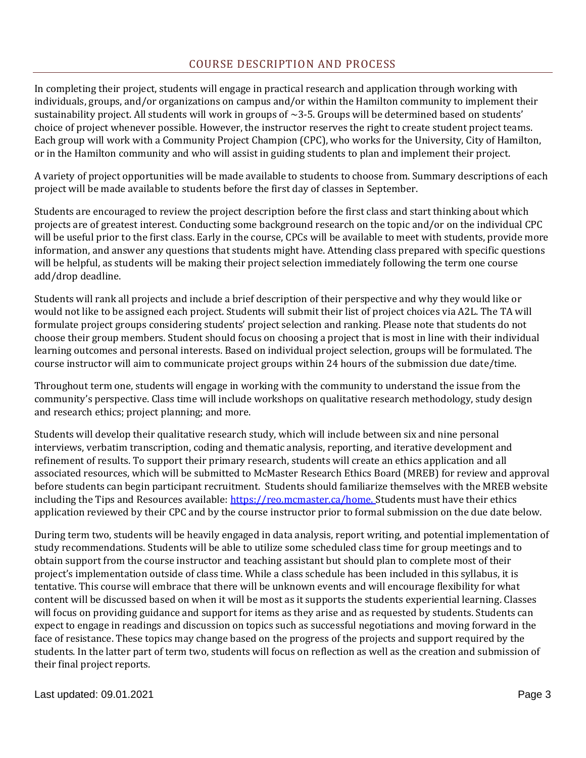# COURSE DESCRIPTION AND PROCESS

In completing their project, students will engage in practical research and application through working with individuals, groups, and/or organizations on campus and/or within the Hamilton community to implement their sustainability project. All students will work in groups of  $\sim$ 3-5. Groups will be determined based on students' choice of project whenever possible. However, the instructor reserves the right to create student project teams. Each group will work with a Community Project Champion (CPC), who works for the University, City of Hamilton, or in the Hamilton community and who will assist in guiding students to plan and implement their project.

A variety of project opportunities will be made available to students to choose from. Summary descriptions of each project will be made available to students before the first day of classes in September.

Students are encouraged to review the project description before the first class and start thinking about which projects are of greatest interest. Conducting some background research on the topic and/or on the individual CPC will be useful prior to the first class. Early in the course, CPCs will be available to meet with students, provide more information, and answer any questions that students might have. Attending class prepared with specific questions will be helpful, as students will be making their project selection immediately following the term one course add/drop deadline.

Students will rank all projects and include a brief description of their perspective and why they would like or would not like to be assigned each project. Students will submit their list of project choices via A2L. The TA will formulate project groups considering students' project selection and ranking. Please note that students do not choose their group members. Student should focus on choosing a project that is most in line with their individual learning outcomes and personal interests. Based on individual project selection, groups will be formulated. The course instructor will aim to communicate project groups within 24 hours of the submission due date/time.

Throughout term one, students will engage in working with the community to understand the issue from the community's perspective. Class time will include workshops on qualitative research methodology, study design and research ethics; project planning; and more.

Students will develop their qualitative research study, which will include between six and nine personal interviews, verbatim transcription, coding and thematic analysis, reporting, and iterative development and refinement of results. To support their primary research, students will create an ethics application and all associated resources, which will be submitted to McMaster Research Ethics Board (MREB) for review and approval before students can begin participant recruitment. Students should familiarize themselves with the MREB website including the Tips and Resources available: [https://reo.mcmaster.ca/home.](https://reo.mcmaster.ca/home) Students must have their ethics application reviewed by their CPC and by the course instructor prior to formal submission on the due date below.

During term two, students will be heavily engaged in data analysis, report writing, and potential implementation of study recommendations. Students will be able to utilize some scheduled class time for group meetings and to obtain support from the course instructor and teaching assistant but should plan to complete most of their project's implementation outside of class time. While a class schedule has been included in this syllabus, it is tentative. This course will embrace that there will be unknown events and will encourage flexibility for what content will be discussed based on when it will be most as it supports the students experiential learning. Classes will focus on providing guidance and support for items as they arise and as requested by students. Students can expect to engage in readings and discussion on topics such as successful negotiations and moving forward in the face of resistance. These topics may change based on the progress of the projects and support required by the students. In the latter part of term two, students will focus on reflection as well as the creation and submission of their final project reports.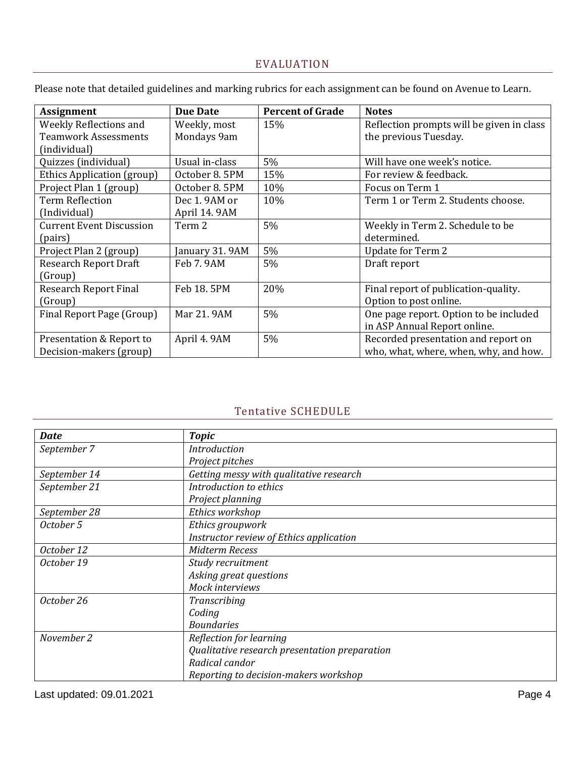# EVALUATION

Please note that detailed guidelines and marking rubrics for each assignment can be found on Avenue to Learn.

| <b>Assignment</b>               | <b>Due Date</b> | <b>Percent of Grade</b> | <b>Notes</b>                              |
|---------------------------------|-----------------|-------------------------|-------------------------------------------|
| Weekly Reflections and          | Weekly, most    | 15%                     | Reflection prompts will be given in class |
| <b>Teamwork Assessments</b>     | Mondays 9am     |                         | the previous Tuesday.                     |
| (individual)                    |                 |                         |                                           |
| Quizzes (individual)            | Usual in-class  | 5%                      | Will have one week's notice.              |
| Ethics Application (group)      | October 8.5PM   | 15%                     | For review & feedback.                    |
| Project Plan 1 (group)          | October 8.5PM   | 10%                     | Focus on Term 1                           |
| <b>Term Reflection</b>          | Dec 1.9AM or    | 10%                     | Term 1 or Term 2. Students choose.        |
| (Individual)                    | April 14.9AM    |                         |                                           |
| <b>Current Event Discussion</b> | Term 2          | 5%                      | Weekly in Term 2. Schedule to be          |
| (pairs)                         |                 |                         | determined.                               |
| Project Plan 2 (group)          | January 31.9AM  | 5%                      | <b>Update for Term 2</b>                  |
| <b>Research Report Draft</b>    | Feb 7.9AM       | 5%                      | Draft report                              |
| (Group)                         |                 |                         |                                           |
| <b>Research Report Final</b>    | Feb 18, 5PM     | 20%                     | Final report of publication-quality.      |
| (Group)                         |                 |                         | Option to post online.                    |
| Final Report Page (Group)       | Mar 21, 9AM     | 5%                      | One page report. Option to be included    |
|                                 |                 |                         | in ASP Annual Report online.              |
| Presentation & Report to        | April 4.9AM     | 5%                      | Recorded presentation and report on       |
| Decision-makers (group)         |                 |                         | who, what, where, when, why, and how.     |

# Tentative SCHEDULE

| <b>Date</b>  | <b>Topic</b>                                  |  |  |
|--------------|-----------------------------------------------|--|--|
| September 7  | <b>Introduction</b>                           |  |  |
|              | Project pitches                               |  |  |
| September 14 | Getting messy with qualitative research       |  |  |
| September 21 | Introduction to ethics                        |  |  |
|              | Project planning                              |  |  |
| September 28 | Ethics workshop                               |  |  |
| October 5    | Ethics groupwork                              |  |  |
|              | Instructor review of Ethics application       |  |  |
| October 12   | <b>Midterm Recess</b>                         |  |  |
| October 19   | Study recruitment                             |  |  |
|              | Asking great questions                        |  |  |
|              | Mock interviews                               |  |  |
| October 26   | Transcribing                                  |  |  |
|              | Coding                                        |  |  |
|              | <b>Boundaries</b>                             |  |  |
| November 2   | Reflection for learning                       |  |  |
|              | Qualitative research presentation preparation |  |  |
|              | Radical candor                                |  |  |
|              | Reporting to decision-makers workshop         |  |  |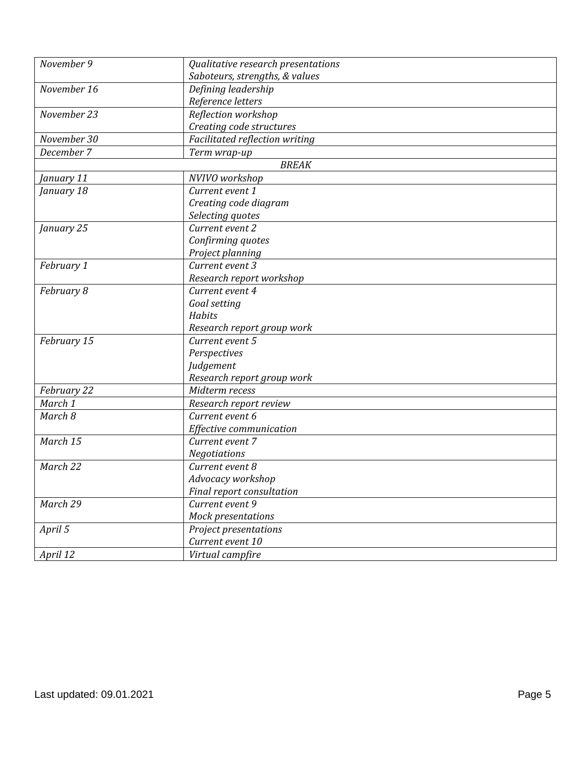| November 9  | Qualitative research presentations |  |  |  |
|-------------|------------------------------------|--|--|--|
|             | Saboteurs, strengths, & values     |  |  |  |
| November 16 | Defining leadership                |  |  |  |
|             | Reference letters                  |  |  |  |
| November 23 | Reflection workshop                |  |  |  |
|             | Creating code structures           |  |  |  |
| November 30 | Facilitated reflection writing     |  |  |  |
| December 7  | Term wrap-up                       |  |  |  |
|             | <b>BREAK</b>                       |  |  |  |
| January 11  | NVIVO workshop                     |  |  |  |
| January 18  | Current event 1                    |  |  |  |
|             | Creating code diagram              |  |  |  |
|             | Selecting quotes                   |  |  |  |
| January 25  | Current event 2                    |  |  |  |
|             | Confirming quotes                  |  |  |  |
|             | Project planning                   |  |  |  |
| February 1  | Current event 3                    |  |  |  |
|             | Research report workshop           |  |  |  |
| February 8  | Current event 4                    |  |  |  |
|             | Goal setting                       |  |  |  |
|             | Habits                             |  |  |  |
|             | Research report group work         |  |  |  |
| February 15 | Current event 5                    |  |  |  |
|             | Perspectives                       |  |  |  |
|             | Judgement                          |  |  |  |
|             | Research report group work         |  |  |  |
| February 22 | Midterm recess                     |  |  |  |
| March 1     | Research report review             |  |  |  |
| March 8     | Current event 6                    |  |  |  |
|             | Effective communication            |  |  |  |
| March 15    | Current event 7                    |  |  |  |
|             | <b>Negotiations</b>                |  |  |  |
| March 22    | Current event 8                    |  |  |  |
|             | Advocacy workshop                  |  |  |  |
|             | Final report consultation          |  |  |  |
| March 29    | Current event 9                    |  |  |  |
|             | Mock presentations                 |  |  |  |
| April 5     | Project presentations              |  |  |  |
|             | Current event 10                   |  |  |  |
| April 12    | Virtual campfire                   |  |  |  |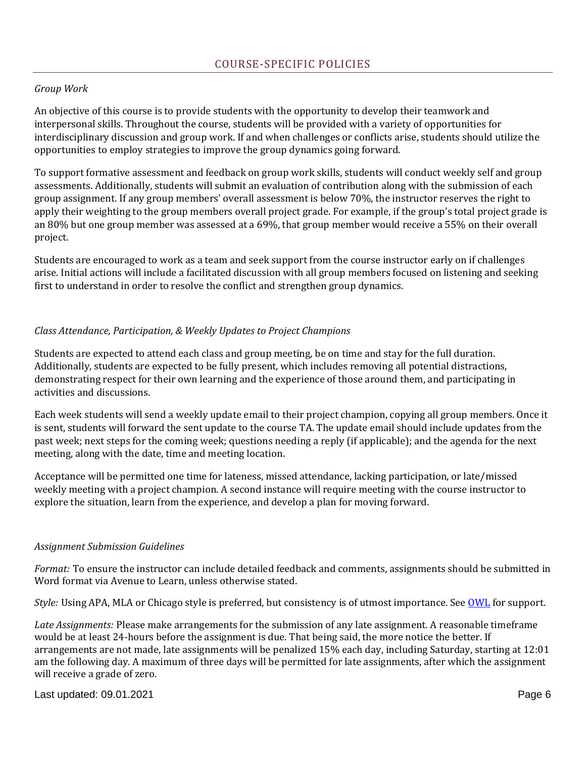## *Group Work*

An objective of this course is to provide students with the opportunity to develop their teamwork and interpersonal skills. Throughout the course, students will be provided with a variety of opportunities for interdisciplinary discussion and group work. If and when challenges or conflicts arise, students should utilize the opportunities to employ strategies to improve the group dynamics going forward.

To support formative assessment and feedback on group work skills, students will conduct weekly self and group assessments. Additionally, students will submit an evaluation of contribution along with the submission of each group assignment. If any group members' overall assessment is below 70%, the instructor reserves the right to apply their weighting to the group members overall project grade. For example, if the group's total project grade is an 80% but one group member was assessed at a 69%, that group member would receive a 55% on their overall project.

Students are encouraged to work as a team and seek support from the course instructor early on if challenges arise. Initial actions will include a facilitated discussion with all group members focused on listening and seeking first to understand in order to resolve the conflict and strengthen group dynamics.

### *Class Attendance, Participation, & Weekly Updates to Project Champions*

Students are expected to attend each class and group meeting, be on time and stay for the full duration. Additionally, students are expected to be fully present, which includes removing all potential distractions, demonstrating respect for their own learning and the experience of those around them, and participating in activities and discussions.

Each week students will send a weekly update email to their project champion, copying all group members. Once it is sent, students will forward the sent update to the course TA. The update email should include updates from the past week; next steps for the coming week; questions needing a reply (if applicable); and the agenda for the next meeting, along with the date, time and meeting location.

Acceptance will be permitted one time for lateness, missed attendance, lacking participation, or late/missed weekly meeting with a project champion. A second instance will require meeting with the course instructor to explore the situation, learn from the experience, and develop a plan for moving forward.

#### *Assignment Submission Guidelines*

*Format:* To ensure the instructor can include detailed feedback and comments, assignments should be submitted in Word format via Avenue to Learn, unless otherwise stated.

*Style:* Using APA, MLA or Chicago style is preferred, but consistency is of utmost importance. See [OWL](https://owl.purdue.edu/owl/research_and_citation/apa_style/apa_formatting_and_style_guide/general_format.html) for support.

*Late Assignments:* Please make arrangements for the submission of any late assignment. A reasonable timeframe would be at least 24-hours before the assignment is due. That being said, the more notice the better. If arrangements are not made, late assignments will be penalized 15% each day, including Saturday, starting at 12:01 am the following day. A maximum of three days will be permitted for late assignments, after which the assignment will receive a grade of zero.

Last updated: 09.01.2021 Page 6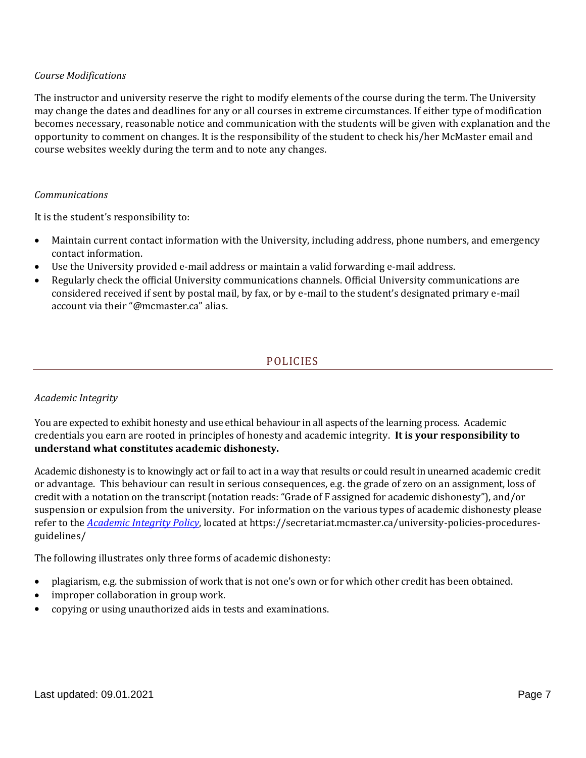## *Course Modifications*

The instructor and university reserve the right to modify elements of the course during the term. The University may change the dates and deadlines for any or all courses in extreme circumstances. If either type of modification becomes necessary, reasonable notice and communication with the students will be given with explanation and the opportunity to comment on changes. It is the responsibility of the student to check his/her McMaster email and course websites weekly during the term and to note any changes.

#### *Communications*

It is the student's responsibility to:

- Maintain current contact information with the University, including address, phone numbers, and emergency contact information.
- Use the University provided e-mail address or maintain a valid forwarding e-mail address.
- Regularly check the official University communications channels. Official University communications are considered received if sent by postal mail, by fax, or by e-mail to the student's designated primary e-mail account via their "@mcmaster.ca" alias.

# POLICIES

#### *Academic Integrity*

You are expected to exhibit honesty and use ethical behaviour in all aspects of the learning process. Academic credentials you earn are rooted in principles of honesty and academic integrity. **It is your responsibility to understand what constitutes academic dishonesty.**

Academic dishonesty is to knowingly act or fail to act in a way that results or could result in unearned academic credit or advantage. This behaviour can result in serious consequences, e.g. the grade of zero on an assignment, loss of credit with a notation on the transcript (notation reads: "Grade of F assigned for academic dishonesty"), and/or suspension or expulsion from the university. For information on the various types of academic dishonesty please refer to the *[Academic Integrity Policy](https://secretariat.mcmaster.ca/app/uploads/Academic-Integrity-Policy-1-1.pdf)*, located at https://secretariat.mcmaster.ca/university-policies-proceduresguidelines/

The following illustrates only three forms of academic dishonesty:

- plagiarism, e.g. the submission of work that is not one's own or for which other credit has been obtained.
- improper collaboration in group work.
- copying or using unauthorized aids in tests and examinations.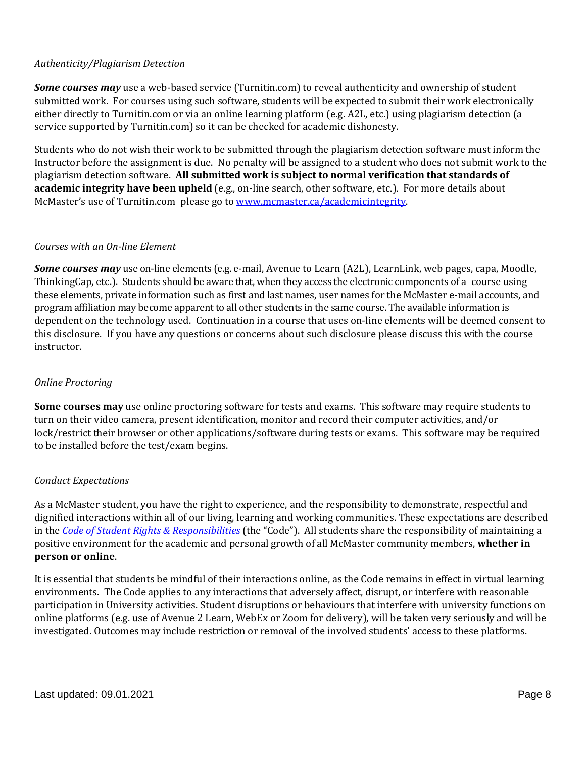# *Authenticity/Plagiarism Detection*

*Some courses may* use a web-based service (Turnitin.com) to reveal authenticity and ownership of student submitted work. For courses using such software, students will be expected to submit their work electronically either directly to Turnitin.com or via an online learning platform (e.g. A2L, etc.) using plagiarism detection (a service supported by Turnitin.com) so it can be checked for academic dishonesty.

Students who do not wish their work to be submitted through the plagiarism detection software must inform the Instructor before the assignment is due. No penalty will be assigned to a student who does not submit work to the plagiarism detection software. **All submitted work is subject to normal verification that standards of academic integrity have been upheld** (e.g., on-line search, other software, etc.). For more details about McMaster's use of Turnitin.com please go to [www.mcmaster.ca/academicintegrity.](http://www.mcmaster.ca/academicintegrity)

## *Courses with an On-line Element*

*Some courses may* use on-line elements (e.g. e-mail, Avenue to Learn (A2L), LearnLink, web pages, capa, Moodle, ThinkingCap, etc.). Students should be aware that, when they access the electronic components of a course using these elements, private information such as first and last names, user names for the McMaster e-mail accounts, and program affiliation may become apparent to all other students in the same course. The available information is dependent on the technology used. Continuation in a course that uses on-line elements will be deemed consent to this disclosure. If you have any questions or concerns about such disclosure please discuss this with the course instructor.

## *Online Proctoring*

**Some courses may** use online proctoring software for tests and exams. This software may require students to turn on their video camera, present identification, monitor and record their computer activities, and/or lock/restrict their browser or other applications/software during tests or exams. This software may be required to be installed before the test/exam begins.

#### *Conduct Expectations*

As a McMaster student, you have the right to experience, and the responsibility to demonstrate, respectful and dignified interactions within all of our living, learning and working communities. These expectations are described in the *Code of Student Rights & [Responsibilities](https://secretariat.mcmaster.ca/app/uploads/Code-of-Student-Rights-and-Responsibilities.pdf)* (the "Code"). All students share the responsibility of maintaining a positive environment for the academic and personal growth of all McMaster community members, **whether in person or online**.

It is essential that students be mindful of their interactions online, as the Code remains in effect in virtual learning environments. The Code applies to any interactions that adversely affect, disrupt, or interfere with reasonable participation in University activities. Student disruptions or behaviours that interfere with university functions on online platforms (e.g. use of Avenue 2 Learn, WebEx or Zoom for delivery), will be taken very seriously and will be investigated. Outcomes may include restriction or removal of the involved students' access to these platforms.